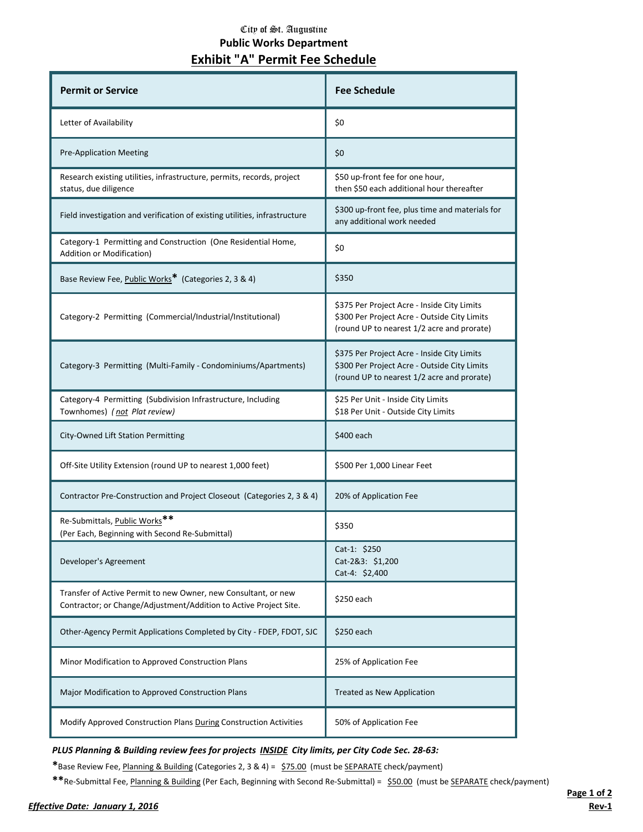## City of St. Augustine **Public Works Department**

| Exhibit "A" Permit Fee Schedule                                                                                                     |                                                                                                                                           |
|-------------------------------------------------------------------------------------------------------------------------------------|-------------------------------------------------------------------------------------------------------------------------------------------|
| <b>Permit or Service</b>                                                                                                            | <b>Fee Schedule</b>                                                                                                                       |
| Letter of Availability                                                                                                              | \$0                                                                                                                                       |
| <b>Pre-Application Meeting</b>                                                                                                      | \$0                                                                                                                                       |
| Research existing utilities, infrastructure, permits, records, project<br>status, due diligence                                     | \$50 up-front fee for one hour,<br>then \$50 each additional hour thereafter                                                              |
| Field investigation and verification of existing utilities, infrastructure                                                          | \$300 up-front fee, plus time and materials for<br>any additional work needed                                                             |
| Category-1 Permitting and Construction (One Residential Home,<br>Addition or Modification)                                          | \$0                                                                                                                                       |
| Base Review Fee, Public Works* (Categories 2, 3 & 4)                                                                                | \$350                                                                                                                                     |
| Category-2 Permitting (Commercial/Industrial/Institutional)                                                                         | \$375 Per Project Acre - Inside City Limits<br>\$300 Per Project Acre - Outside City Limits<br>(round UP to nearest 1/2 acre and prorate) |
| Category-3 Permitting (Multi-Family - Condominiums/Apartments)                                                                      | \$375 Per Project Acre - Inside City Limits<br>\$300 Per Project Acre - Outside City Limits<br>(round UP to nearest 1/2 acre and prorate) |
| Category-4 Permitting (Subdivision Infrastructure, Including<br>Townhomes) (not Plat review)                                        | \$25 Per Unit - Inside City Limits<br>\$18 Per Unit - Outside City Limits                                                                 |
| City-Owned Lift Station Permitting                                                                                                  | \$400 each                                                                                                                                |
| Off-Site Utility Extension (round UP to nearest 1,000 feet)                                                                         | \$500 Per 1,000 Linear Feet                                                                                                               |
| Contractor Pre-Construction and Project Closeout (Categories 2, 3 & 4)                                                              | 20% of Application Fee                                                                                                                    |
| Re-Submittals, Public Works <sup>**</sup><br>(Per Each, Beginning with Second Re-Submittal)                                         | \$350                                                                                                                                     |
| Developer's Agreement                                                                                                               | Cat-1: \$250<br>Cat-2&3: \$1,200<br>$Cat-4: $2,400$                                                                                       |
| Transfer of Active Permit to new Owner, new Consultant, or new<br>Contractor; or Change/Adjustment/Addition to Active Project Site. | \$250 each                                                                                                                                |
| Other-Agency Permit Applications Completed by City - FDEP, FDOT, SJC                                                                | \$250 each                                                                                                                                |
| Minor Modification to Approved Construction Plans                                                                                   | 25% of Application Fee                                                                                                                    |

*PLUS Planning & Building review fees for projects INSIDE City limits, per City Code Sec. 28-63:*

Modify Approved Construction Plans During Construction Activities 50% of Application Fee

Major Modification to Approved Construction Plans Treated as New Application

**\***Base Review Fee, Planning & Building (Categories 2, 3 & 4) = \$75.00 (must be SEPARATE check/payment)

**\*\***Re-Submittal Fee, Planning & Building (Per Each, Beginning with Second Re-Submittal) = \$50.00 (must be SEPARATE check/payment)